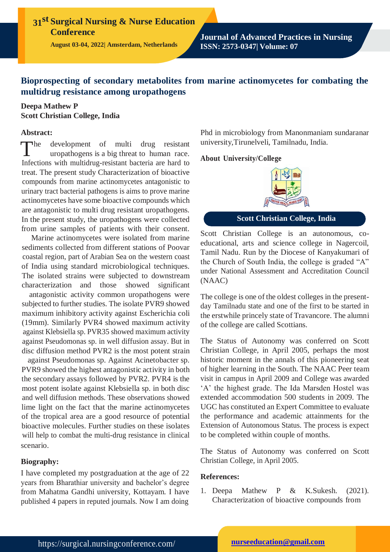**31st Surgical Nursing & Nurse Education Conference**

**August 03-04, 2022| Amsterdam, Netherlands**

**Journal of Advanced Practices in Nursing ISSN: 2573-0347| Volume: 07**

# **Bioprospecting of secondary metabolites from marine actinomycetes for combating the multidrug resistance among uropathogens**

# **Deepa Mathew P Scott Christian College, India**

## **Abstract:**

 $\blacksquare$ development of multi drug resistant uropathogens is a big threat to human race. Infections with multidrug-resistant bacteria are hard to treat. The present study Characterization of bioactive compounds from marine actinomycetes antagonistic to urinary tract bacterial pathogens is aims to prove marine actinomycetes have some bioactive compounds which are antagonistic to multi drug resistant uropathogens. In the present study, the uropathogens were collected from urine samples of patients with their consent.

Marine actinomycetes were isolated from marine sediments collected from different stations of Poovar coastal region, part of Arabian Sea on the western coast of India using standard microbiological techniques. The isolated strains were subjected to downstream characterization and those showed significant

antagonistic activity common uropathogens were subjected to further studies. The isolate PVR9 showed maximum inhibitory activity against Escherichia coli (19mm). Similarly PVR4 showed maximum activity against Klebsiella sp. PVR35 showed maximum activity against Pseudomonas sp. in well diffusion assay. But in disc diffusion method PVR2 is the most potent strain

against Pseudomonas sp. Against Acinetobacter sp. PVR9 showed the highest antagonistic activity in both the secondary assays followed by PVR2. PVR4 is the most potent isolate against Klebsiella sp. in both disc and well diffusion methods. These observations showed lime light on the fact that the marine actinomycetes of the tropical area are a good resource of potential bioactive molecules. Further studies on these isolates will help to combat the multi-drug resistance in clinical scenario.

## **Biography:**

I have completed my postgraduation at the age of 22 years from Bharathiar university and bachelor's degree from Mahatma Gandhi university, Kottayam. I have published 4 papers in reputed journals. Now I am doing

Phd in microbiology from Manonmaniam sundaranar university,Tirunelveli, Tamilnadu, India.

#### **About University/College**



# **Scott Christian College, India**

Scott Christian College is an autonomous, coeducational, arts and science college in Nagercoil, Tamil Nadu. Run by the Diocese of Kanyakumari of the Church of South India, the college is graded "A" under National Assessment and Accreditation Council (NAAC)

The college is one of the oldest colleges in the presentday Tamilnadu state and one of the first to be started in the erstwhile princely state of Travancore. The alumni of the college are called Scottians.

The Status of Autonomy was conferred on Scott Christian College, in April 2005, perhaps the most historic moment in the annals of this pioneering seat of higher learning in the South. The NAAC Peer team visit in campus in April 2009 and College was awarded 'A' the highest grade. The Ida Marsden Hostel was extended accommodation 500 students in 2009. The UGC has constituted an Expert Committee to evaluate the performance and academic attainments for the Extension of Autonomous Status. The process is expect to be completed within couple of months.

The Status of Autonomy was conferred on Scott Christian College, in April 2005.

## **References:**

1. Deepa Mathew P & K.Sukesh. (2021). Characterization of bioactive compounds from